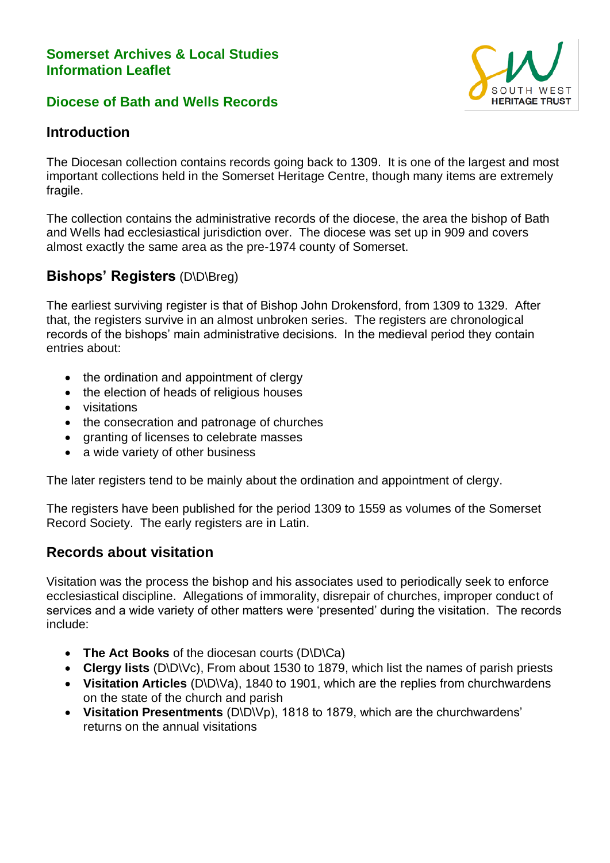#### **Somerset Archives & Local Studies Information Leaflet**

#### **Diocese of Bath and Wells Records**



## **Introduction**

The Diocesan collection contains records going back to 1309. It is one of the largest and most important collections held in the Somerset Heritage Centre, though many items are extremely fragile.

The collection contains the administrative records of the diocese, the area the bishop of Bath and Wells had ecclesiastical jurisdiction over. The diocese was set up in 909 and covers almost exactly the same area as the pre-1974 county of Somerset.

### **Bishops' Registers** (D\D\Breg)

The earliest surviving register is that of Bishop John Drokensford, from 1309 to 1329. After that, the registers survive in an almost unbroken series. The registers are chronological records of the bishops' main administrative decisions. In the medieval period they contain entries about:

- the ordination and appointment of clergy
- the election of heads of religious houses
- visitations
- the consecration and patronage of churches
- granting of licenses to celebrate masses
- a wide variety of other business

The later registers tend to be mainly about the ordination and appointment of clergy.

The registers have been published for the period 1309 to 1559 as volumes of the Somerset Record Society. The early registers are in Latin.

### **Records about visitation**

Visitation was the process the bishop and his associates used to periodically seek to enforce ecclesiastical discipline. Allegations of immorality, disrepair of churches, improper conduct of services and a wide variety of other matters were 'presented' during the visitation. The records include:

- **The Act Books** of the diocesan courts (D\D\Ca)
- **Clergy lists** (D\D\Vc), From about 1530 to 1879, which list the names of parish priests
- **Visitation Articles** (D\D\Va), 1840 to 1901, which are the replies from churchwardens on the state of the church and parish
- **Visitation Presentments** (D\D\Vp), 1818 to 1879, which are the churchwardens' returns on the annual visitations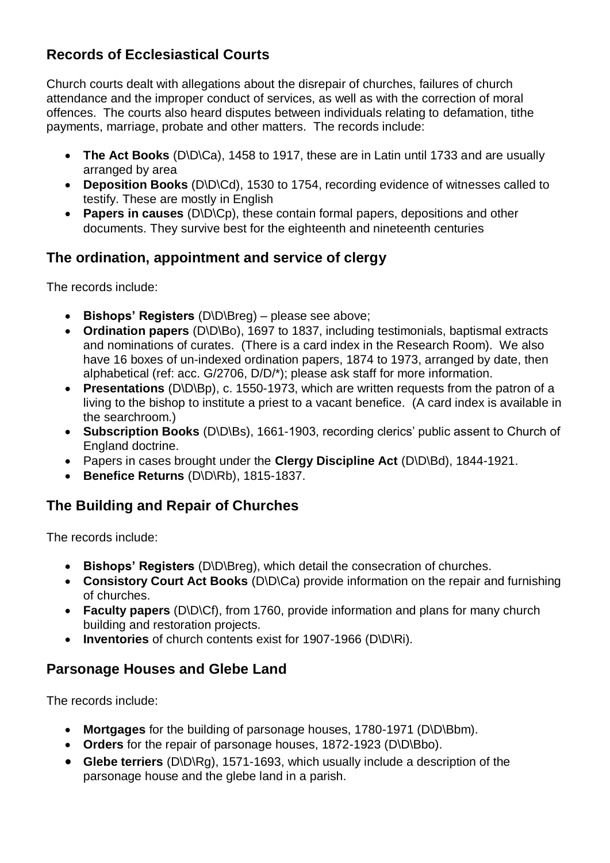# **Records of Ecclesiastical Courts**

Church courts dealt with allegations about the disrepair of churches, failures of church attendance and the improper conduct of services, as well as with the correction of moral offences. The courts also heard disputes between individuals relating to defamation, tithe payments, marriage, probate and other matters. The records include:

- **The Act Books** (D\D\Ca), 1458 to 1917, these are in Latin until 1733 and are usually arranged by area
- **Deposition Books** (D\D\Cd), 1530 to 1754, recording evidence of witnesses called to testify. These are mostly in English
- **Papers in causes** (D\D\Cp), these contain formal papers, depositions and other documents. They survive best for the eighteenth and nineteenth centuries

# **The ordination, appointment and service of clergy**

The records include:

- **Bishops' Registers** (D\D\Breg) please see above;
- **Ordination papers** (D\D\Bo), 1697 to 1837, including testimonials, baptismal extracts and nominations of curates. (There is a card index in the Research Room). We also have 16 boxes of un-indexed ordination papers, 1874 to 1973, arranged by date, then alphabetical (ref: acc. G/2706, D/D/\*); please ask staff for more information.
- **Presentations** (D\D\Bp), c. 1550-1973, which are written requests from the patron of a living to the bishop to institute a priest to a vacant benefice. (A card index is available in the searchroom.)
- **Subscription Books** (D\D\Bs), 1661-1903, recording clerics' public assent to Church of England doctrine.
- Papers in cases brought under the **Clergy Discipline Act** (D\D\Bd), 1844-1921.
- **Benefice Returns** (D\D\Rb), 1815-1837.

# **The Building and Repair of Churches**

The records include:

- **Bishops' Registers** (D\D\Breg), which detail the consecration of churches.
- **Consistory Court Act Books** (D\D\Ca) provide information on the repair and furnishing of churches.
- **Faculty papers** (D\D\Cf), from 1760, provide information and plans for many church building and restoration projects.
- **Inventories** of church contents exist for 1907-1966 (D\D\Ri).

# **Parsonage Houses and Glebe Land**

The records include:

- **Mortgages** for the building of parsonage houses, 1780-1971 (D\D\Bbm).
- **Orders** for the repair of parsonage houses, 1872-1923 (D\D\Bbo).
- **Glebe terriers** (D\D\Rg), 1571-1693, which usually include a description of the parsonage house and the glebe land in a parish.